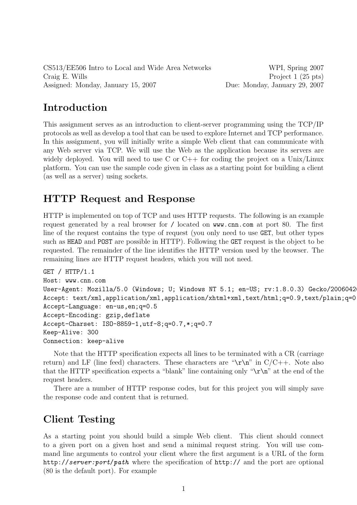CS513/EE506 Intro to Local and Wide Area Networks WPI, Spring 2007 Craig E. Wills Project 1 (25 pts) Assigned: Monday, January 15, 2007 Due: Monday, January 29, 2007

### Introduction

This assignment serves as an introduction to client-server programming using the TCP/IP protocols as well as develop a tool that can be used to explore Internet and TCP performance. In this assignment, you will initially write a simple Web client that can communicate with any Web server via TCP. We will use the Web as the application because its servers are widely deployed. You will need to use C or  $C_{++}$  for coding the project on a Unix/Linux platform. You can use the sample code given in class as a starting point for building a client (as well as a server) using sockets.

## HTTP Request and Response

HTTP is implemented on top of TCP and uses HTTP requests. The following is an example request generated by a real browser for / located on www.cnn.com at port 80. The first line of the request contains the type of request (you only need to use GET, but other types such as HEAD and POST are possible in HTTP). Following the GET request is the object to be requested. The remainder of the line identifies the HTTP version used by the browser. The remaining lines are HTTP request headers, which you will not need.

```
GET / HTTP/1.1
Host: www.cnn.com
User-Agent: Mozilla/5.0 (Windows; U; Windows NT 5.1; en-US; rv:1.8.0.3) Gecko/2006042
Accept: text/xml,application/xml,application/xhtml+xml,text/html;q=0.9,text/plain;q=0
Accept-Language: en-us,en;q=0.5
Accept-Encoding: gzip,deflate
Accept-Charset: ISO-8859-1,utf-8;q=0.7,*;q=0.7
Keep-Alive: 300
Connection: keep-alive
```
Note that the HTTP specification expects all lines to be terminated with a CR (carriage return) and LF (line feed) characters. These characters are " $\rrbracket$ ' in C/C++. Note also that the HTTP specification expects a "blank" line containing only " $\\ r\$ n" at the end of the request headers.

There are a number of HTTP response codes, but for this project you will simply save the response code and content that is returned.

# Client Testing

As a starting point you should build a simple Web client. This client should connect to a given port on a given host and send a minimal request string. You will use command line arguments to control your client where the first argument is a URL of the form http://server:port/path where the specification of http:// and the port are optional (80 is the default port). For example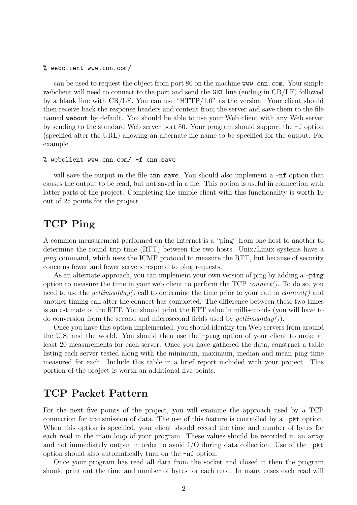#### % webclient www.cnn.com/

can be used to request the object from port 80 on the machine www.cnn.com. Your simple webclient will need to connect to the port and send the **GET** line (ending in  $CR/LF$ ) followed by a blank line with CR/LF. You can use "HTTP/1.0" as the version. Your client should then receive back the response headers and content from the server and save them to the file named webout by default. You should be able to use your Web client with any Web server by sending to the standard Web server port 80. Your program should support the -f option (specified after the URL) allowing an alternate file name to be specified for the output. For example

#### % webclient www.cnn.com/ -f cnn.save

will save the output in the file cnn.save. You should also implement a  $\text{-nf}$  option that causes the output to be read, but not saved in a file. This option is useful in connection with latter parts of the project. Completing the simple client with this functionality is worth 10 out of 25 points for the project.

# TCP Ping

A common measurement performed on the Internet is a "ping" from one host to another to determine the round trip time (RTT) between the two hosts. Unix/Linux systems have a ping command, which uses the ICMP protocol to measure the RTT, but because of security concerns fewer and fewer servers respond to ping requests.

As an alternate approach, you can implement your own version of ping by adding a -ping option to measure the time in your web client to perform the  $TCP \, connect(.)$ . To do so, you need to use the *gettimeofday()* call to determine the time prior to your call to *connect()* and another timing call after the connect has completed. The difference between these two times is an estimate of the RTT. You should print the RTT value in milliseconds (you will have to do conversion from the second and microsecond fields used by  $\varphi(t)$ .

Once you have this option implemented, you should identify ten Web servers from around the U.S. and the world. You should then use the -ping option of your client to make at least 20 measurements for each server. Once you have gathered the data, construct a table listing each server tested along with the minimum, maximum, median and mean ping time measured for each. Include this table in a brief report included with your project. This portion of the project is worth an additional five points.

### TCP Packet Pattern

For the next five points of the project, you will examine the approach used by a TCP connection for transmission of data. The use of this feature is controlled by a -pkt option. When this option is specified, your client should record the time and number of bytes for each read in the main loop of your program. These values should be recorded in an array and not immediately output in order to avoid  $I/O$  during data collection. Use of the  $-pkt$ option should also automatically turn on the -nf option.

Once your program has read all data from the socket and closed it then the program should print out the time and number of bytes for each read. In many cases each read will